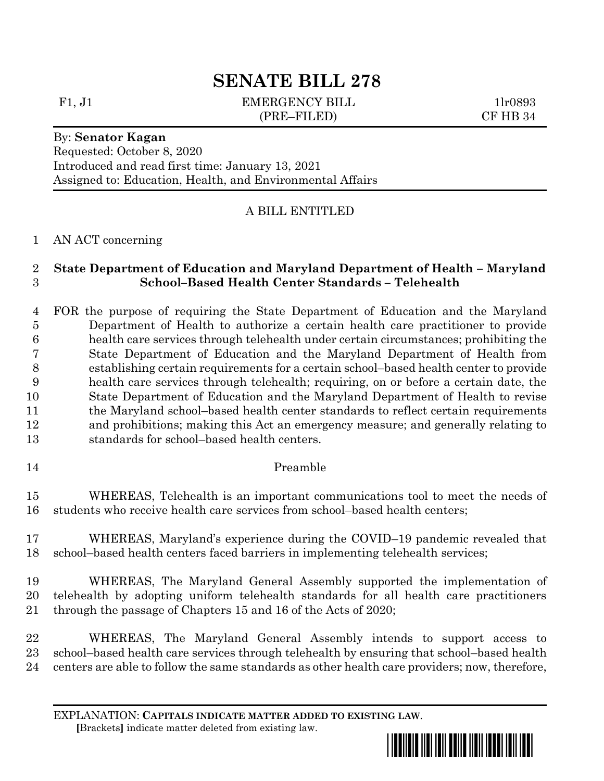# **SENATE BILL 278**

F1, J1 EMERGENCY BILL 1lr0893 (PRE–FILED) CF HB 34

Requested: October 8, 2020 Introduced and read first time: January 13, 2021 Assigned to: Education, Health, and Environmental Affairs

## A BILL ENTITLED

### AN ACT concerning

By: **Senator Kagan**

## **State Department of Education and Maryland Department of Health – Maryland School–Based Health Center Standards – Telehealth**

 FOR the purpose of requiring the State Department of Education and the Maryland Department of Health to authorize a certain health care practitioner to provide health care services through telehealth under certain circumstances; prohibiting the State Department of Education and the Maryland Department of Health from establishing certain requirements for a certain school–based health center to provide health care services through telehealth; requiring, on or before a certain date, the State Department of Education and the Maryland Department of Health to revise 11 the Maryland school–based health center standards to reflect certain requirements and prohibitions; making this Act an emergency measure; and generally relating to standards for school–based health centers.

Preamble

 WHEREAS, Telehealth is an important communications tool to meet the needs of students who receive health care services from school–based health centers;

 WHEREAS, Maryland's experience during the COVID–19 pandemic revealed that school–based health centers faced barriers in implementing telehealth services;

 WHEREAS, The Maryland General Assembly supported the implementation of telehealth by adopting uniform telehealth standards for all health care practitioners through the passage of Chapters 15 and 16 of the Acts of 2020;

 WHEREAS, The Maryland General Assembly intends to support access to school–based health care services through telehealth by ensuring that school–based health centers are able to follow the same standards as other health care providers; now, therefore,

EXPLANATION: **CAPITALS INDICATE MATTER ADDED TO EXISTING LAW**.  **[**Brackets**]** indicate matter deleted from existing law.